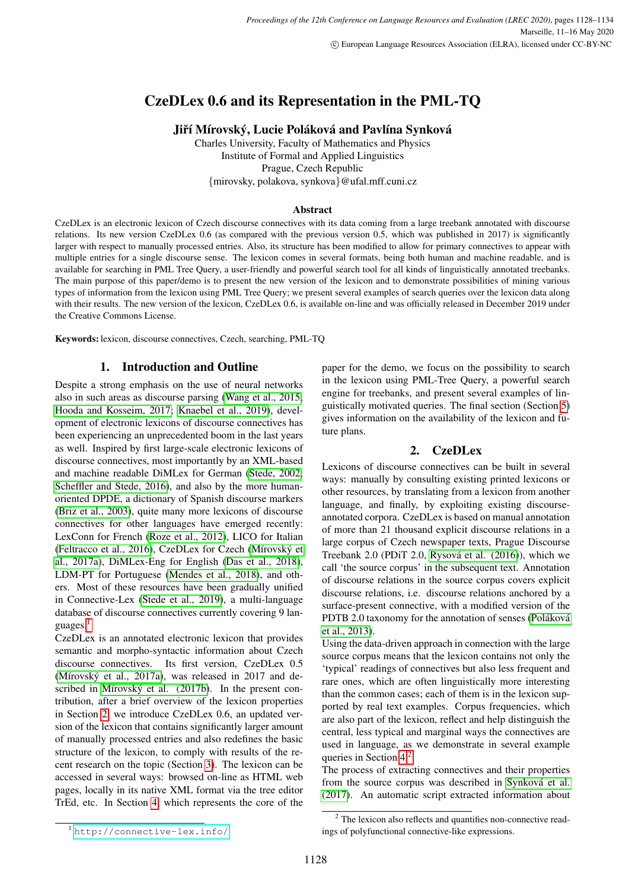# CzeDLex 0.6 and its Representation in the PML-TQ

Jiří Mírovský, Lucie Poláková and Pavlína Synková

Charles University, Faculty of Mathematics and Physics Institute of Formal and Applied Linguistics Prague, Czech Republic {mirovsky, polakova, synkova}@ufal.mff.cuni.cz

### Abstract

CzeDLex is an electronic lexicon of Czech discourse connectives with its data coming from a large treebank annotated with discourse relations. Its new version CzeDLex 0.6 (as compared with the previous version 0.5, which was published in 2017) is significantly larger with respect to manually processed entries. Also, its structure has been modified to allow for primary connectives to appear with multiple entries for a single discourse sense. The lexicon comes in several formats, being both human and machine readable, and is available for searching in PML Tree Query, a user-friendly and powerful search tool for all kinds of linguistically annotated treebanks. The main purpose of this paper/demo is to present the new version of the lexicon and to demonstrate possibilities of mining various types of information from the lexicon using PML Tree Query; we present several examples of search queries over the lexicon data along with their results. The new version of the lexicon, CzeDLex 0.6, is available on-line and was officially released in December 2019 under the Creative Commons License.

Keywords: lexicon, discourse connectives, Czech, searching, PML-TQ

# 1. Introduction and Outline

Despite a strong emphasis on the use of neural networks also in such areas as discourse parsing [\(Wang et al., 2015;](#page-6-0) [Hooda and Kosseim, 2017;](#page-6-1) [Knaebel et al., 2019\)](#page-6-2), development of electronic lexicons of discourse connectives has been experiencing an unprecedented boom in the last years as well. Inspired by first large-scale electronic lexicons of discourse connectives, most importantly by an XML-based and machine readable DiMLex for German [\(Stede, 2002;](#page-6-3) [Scheffler and Stede, 2016\)](#page-6-4), and also by the more humanoriented DPDE, a dictionary of Spanish discourse markers [\(Briz et al., 2003\)](#page-5-0), quite many more lexicons of discourse connectives for other languages have emerged recently: LexConn for French [\(Roze et al., 2012\)](#page-6-5), LICO for Italian [\(Feltracco et al., 2016\)](#page-5-1), CzeDLex for Czech (Mírovský et [al., 2017a\)](#page-6-6), DiMLex-Eng for English [\(Das et al., 2018\)](#page-5-2), LDM-PT for Portuguese [\(Mendes et al., 2018\)](#page-6-7), and others. Most of these resources have been gradually unified in Connective-Lex [\(Stede et al., 2019\)](#page-6-8), a multi-language database of discourse connectives currently covering 9 languages.[1](#page-0-0)

CzeDLex is an annotated electronic lexicon that provides semantic and morpho-syntactic information about Czech discourse connectives. Its first version, CzeDLex 0.5 (Mírovský et al., 2017a), was released in 2017 and described in Mírovský et al.  $(2017b)$ . In the present contribution, after a brief overview of the lexicon properties in Section [2,](#page-0-1) we introduce CzeDLex 0.6, an updated version of the lexicon that contains significantly larger amount of manually processed entries and also redefines the basic structure of the lexicon, to comply with results of the recent research on the topic (Section [3\)](#page-1-0). The lexicon can be accessed in several ways: browsed on-line as HTML web pages, locally in its native XML format via the tree editor TrEd, etc. In Section [4,](#page-2-0) which represents the core of the paper for the demo, we focus on the possibility to search in the lexicon using PML-Tree Query, a powerful search engine for treebanks, and present several examples of linguistically motivated queries. The final section (Section [5\)](#page-4-0) gives information on the availability of the lexicon and future plans.

# 2. CzeDLex

<span id="page-0-1"></span>Lexicons of discourse connectives can be built in several ways: manually by consulting existing printed lexicons or other resources, by translating from a lexicon from another language, and finally, by exploiting existing discourseannotated corpora. CzeDLex is based on manual annotation of more than 21 thousand explicit discourse relations in a large corpus of Czech newspaper texts, Prague Discourse Treebank 2.0 (PDiT 2.0, Rysová et al. (2016)), which we call 'the source corpus' in the subsequent text. Annotation of discourse relations in the source corpus covers explicit discourse relations, i.e. discourse relations anchored by a surface-present connective, with a modified version of the PDTB 2.0 taxonomy for the annotation of senses (Poláková [et al., 2013\)](#page-6-11).

Using the data-driven approach in connection with the large source corpus means that the lexicon contains not only the 'typical' readings of connectives but also less frequent and rare ones, which are often linguistically more interesting than the common cases; each of them is in the lexicon supported by real text examples. Corpus frequencies, which are also part of the lexicon, reflect and help distinguish the central, less typical and marginal ways the connectives are used in language, as we demonstrate in several example queries in Section [4.](#page-2-0)[2](#page-0-2)

The process of extracting connectives and their properties from the source corpus was described in Synková et al. [\(2017\)](#page-6-12). An automatic script extracted information about

<span id="page-0-0"></span><sup>1</sup> <http://connective-lex.info/>

<span id="page-0-2"></span><sup>&</sup>lt;sup>2</sup> The lexicon also reflects and quantifies non-connective readings of polyfunctional connective-like expressions.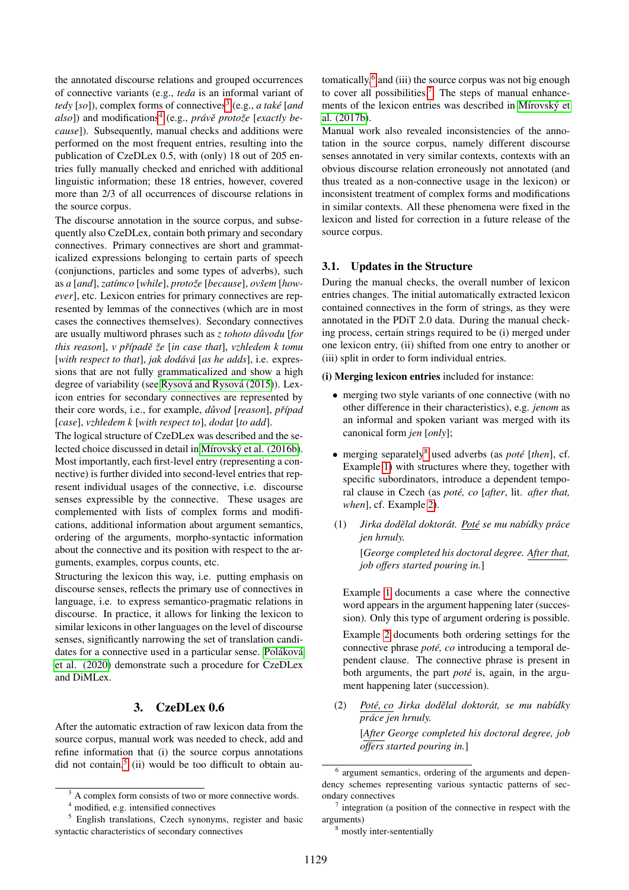the annotated discourse relations and grouped occurrences of connective variants (e.g., *teda* is an informal variant of *tedy* [so]), complex forms of connectives<sup>[3](#page-1-1)</sup> (e.g., *a také* [*and also*]) and modifications<sup>[4](#page-1-2)</sup> (e.g., *právě protože* [*exactly because*]). Subsequently, manual checks and additions were performed on the most frequent entries, resulting into the publication of CzeDLex 0.5, with (only) 18 out of 205 entries fully manually checked and enriched with additional linguistic information; these 18 entries, however, covered more than 2/3 of all occurrences of discourse relations in the source corpus.

The discourse annotation in the source corpus, and subsequently also CzeDLex, contain both primary and secondary connectives. Primary connectives are short and grammaticalized expressions belonging to certain parts of speech (conjunctions, particles and some types of adverbs), such as *a* [and], *zatímco* [while], *protože* [because], *ovšem* [how*ever*], etc. Lexicon entries for primary connectives are represented by lemmas of the connectives (which are in most cases the connectives themselves). Secondary connectives are usually multiword phrases such as *z tohoto důvodu* [*for this reason*], *v prˇ´ıpadeˇ zeˇ* [*in case that*], *vzhledem k tomu* [with respect to that], jak dodává [as he adds], i.e. expressions that are not fully grammaticalized and show a high degree of variability (see Rysová and Rysová (2015)). Lexicon entries for secondary connectives are represented by their core words, i.e., for example,  $d\mathit{u}vod$  [*reason*], *případ* [*case*], *vzhledem k* [*with respect to*], *dodat* [*to add*].

The logical structure of CzeDLex was described and the selected choice discussed in detail in Mírovský et al. (2016b). Most importantly, each first-level entry (representing a connective) is further divided into second-level entries that represent individual usages of the connective, i.e. discourse senses expressible by the connective. These usages are complemented with lists of complex forms and modifications, additional information about argument semantics, ordering of the arguments, morpho-syntactic information about the connective and its position with respect to the arguments, examples, corpus counts, etc.

Structuring the lexicon this way, i.e. putting emphasis on discourse senses, reflects the primary use of connectives in language, i.e. to express semantico-pragmatic relations in discourse. In practice, it allows for linking the lexicon to similar lexicons in other languages on the level of discourse senses, significantly narrowing the set of translation candidates for a connective used in a particular sense. Poláková [et al. \(2020\)](#page-6-15) demonstrate such a procedure for CzeDLex and DiMLex.

### 3. CzeDLex 0.6

<span id="page-1-0"></span>After the automatic extraction of raw lexicon data from the source corpus, manual work was needed to check, add and refine information that (i) the source corpus annotations did not contain,<sup>[5](#page-1-3)</sup> (ii) would be too difficult to obtain au-

tomatically,<sup>[6](#page-1-4)</sup> and (iii) the source corpus was not big enough to cover all possibilities.<sup>[7](#page-1-5)</sup> The steps of manual enhancements of the lexicon entries was described in Mírovský et [al. \(2017b\)](#page-6-9).

Manual work also revealed inconsistencies of the annotation in the source corpus, namely different discourse senses annotated in very similar contexts, contexts with an obvious discourse relation erroneously not annotated (and thus treated as a non-connective usage in the lexicon) or inconsistent treatment of complex forms and modifications in similar contexts. All these phenomena were fixed in the lexicon and listed for correction in a future release of the source corpus.

#### 3.1. Updates in the Structure

During the manual checks, the overall number of lexicon entries changes. The initial automatically extracted lexicon contained connectives in the form of strings, as they were annotated in the PDiT 2.0 data. During the manual checking process, certain strings required to be (i) merged under one lexicon entry, (ii) shifted from one entry to another or (iii) split in order to form individual entries.

(i) Merging lexicon entries included for instance:

- merging two style variants of one connective (with no other difference in their characteristics), e.g. *jenom* as an informal and spoken variant was merged with its canonical form *jen* [*only*];
- merging separately<sup>[8](#page-1-6)</sup> used adverbs (as *poté* [*then*], cf. Example [1\)](#page-1-7) with structures where they, together with specific subordinators, introduce a dependent temporal clause in Czech (as *poté, co* [*after, lit. after that, when*], cf. Example [2\)](#page-1-8).
- <span id="page-1-7"></span>(1) *Jirka dodelal doktor ˇ at. Pot ´ e´ se mu nab´ıdky prace ´ jen hrnuly.* [*George completed his doctoral degree. After that, job offers started pouring in.*]

Example [1](#page-1-7) documents a case where the connective word appears in the argument happening later (succession). Only this type of argument ordering is possible.

Example [2](#page-1-8) documents both ordering settings for the connective phrase *poté, co* introducing a temporal dependent clause. The connective phrase is present in both arguments, the part *poté* is, again, in the argument happening later (succession).

<span id="page-1-8"></span>(2) *Pote, co ´ Jirka dodelal doktor ˇ at, se mu nab ´ ´ıdky prace jen hrnuly. ´* [*After George completed his doctoral degree, job offers started pouring in.*]

<span id="page-1-1"></span> $3 \text{ A complex form consists of two or more connective words.}$ 

<span id="page-1-3"></span><span id="page-1-2"></span><sup>4</sup> modified, e.g. intensified connectives

<sup>&</sup>lt;sup>5</sup> English translations, Czech synonyms, register and basic syntactic characteristics of secondary connectives

<span id="page-1-4"></span><sup>6</sup> argument semantics, ordering of the arguments and dependency schemes representing various syntactic patterns of secondary connectives

<span id="page-1-5"></span> $\frac{7}{7}$  integration (a position of the connective in respect with the arguments)

<span id="page-1-6"></span><sup>8</sup> mostly inter-sententially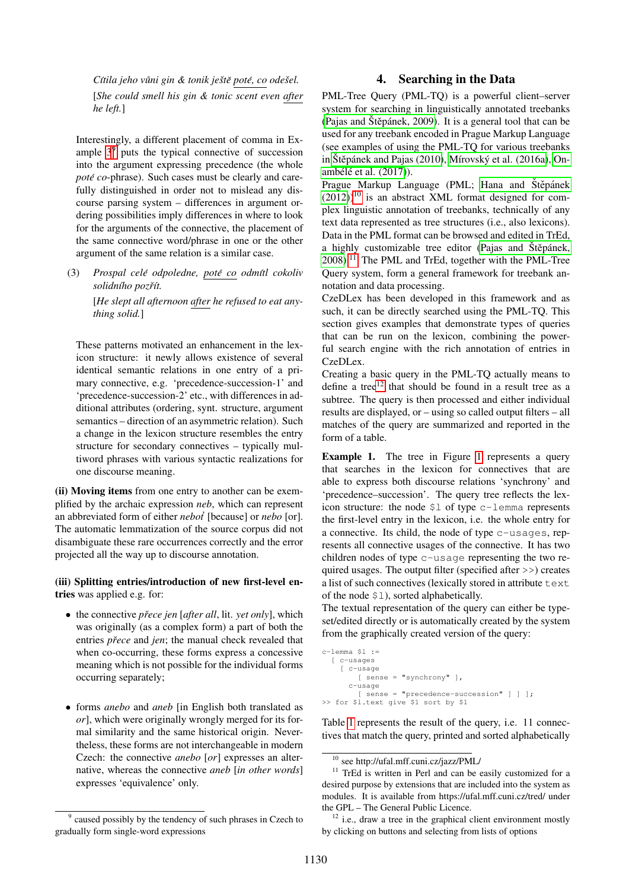*C´ıtila jeho vuni gin & tonik je ˚ stˇ e pot ˇ e, co ´ odesel. ˇ* [*She could smell his gin & tonic scent even after he left.*]

Interestingly, a different placement of comma in Example  $3<sup>9</sup>$  $3<sup>9</sup>$  $3<sup>9</sup>$  puts the typical connective of succession into the argument expressing precedence (the whole *poté co-phrase*). Such cases must be clearly and carefully distinguished in order not to mislead any discourse parsing system – differences in argument ordering possibilities imply differences in where to look for the arguments of the connective, the placement of the same connective word/phrase in one or the other argument of the same relation is a similar case.

<span id="page-2-1"></span>(3) *Prospal cele odpoledne, ´ pote´ co odm´ıtl cokoliv solidn´ıho pozrˇ´ıt.*

> [*He slept all afternoon after he refused to eat anything solid.*]

These patterns motivated an enhancement in the lexicon structure: it newly allows existence of several identical semantic relations in one entry of a primary connective, e.g. 'precedence-succession-1' and 'precedence-succession-2' etc., with differences in additional attributes (ordering, synt. structure, argument semantics – direction of an asymmetric relation). Such a change in the lexicon structure resembles the entry structure for secondary connectives – typically multiword phrases with various syntactic realizations for one discourse meaning.

(ii) Moving items from one entry to another can be exemplified by the archaic expression *neb*, which can represent an abbreviated form of either *nebot'* [because] or *nebo* [or]. The automatic lemmatization of the source corpus did not disambiguate these rare occurrences correctly and the error projected all the way up to discourse annotation.

#### (iii) Splitting entries/introduction of new first-level entries was applied e.g. for:

- the connective *prece jen ˇ* [*after all*, lit. *yet only*], which was originally (as a complex form) a part of both the entries *přece* and *jen*; the manual check revealed that when co-occurring, these forms express a concessive meaning which is not possible for the individual forms occurring separately;
- forms *anebo* and *aneb* [in English both translated as *or*], which were originally wrongly merged for its formal similarity and the same historical origin. Nevertheless, these forms are not interchangeable in modern Czech: the connective *anebo* [*or*] expresses an alternative, whereas the connective *aneb* [*in other words*] expresses 'equivalence' only.

# 4. Searching in the Data

<span id="page-2-0"></span>PML-Tree Query (PML-TQ) is a powerful client–server system for searching in linguistically annotated treebanks (Pajas and Štěpánek, 2009). It is a general tool that can be used for any treebank encoded in Prague Markup Language (see examples of using the PML-TQ for various treebanks in Štěpánek and Pajas (2010), Mírovský et al. (2016a), [On](#page-6-19) ambélé et al. (2017)).

Prague Markup Language (PML; [Hana and](#page-6-20) Štěpánek  $(2012)$ <sup>[10](#page-2-3)</sup> is an abstract XML format designed for complex linguistic annotation of treebanks, technically of any text data represented as tree structures (i.e., also lexicons). Data in the PML format can be browsed and edited in TrEd, a highly customizable tree editor [\(Pajas and](#page-6-21) Štěpánek, [2008\)](#page-6-21).[11](#page-2-4) The PML and TrEd, together with the PML-Tree Query system, form a general framework for treebank annotation and data processing.

CzeDLex has been developed in this framework and as such, it can be directly searched using the PML-TQ. This section gives examples that demonstrate types of queries that can be run on the lexicon, combining the powerful search engine with the rich annotation of entries in CzeDLex.

Creating a basic query in the PML-TQ actually means to define a tree $12$  that should be found in a result tree as a subtree. The query is then processed and either individual results are displayed, or – using so called output filters – all matches of the query are summarized and reported in the form of a table.

Example [1](#page-3-0). The tree in Figure 1 represents a query that searches in the lexicon for connectives that are able to express both discourse relations 'synchrony' and 'precedence–succession'. The query tree reflects the lexicon structure: the node \$l of type c-lemma represents the first-level entry in the lexicon, i.e. the whole entry for a connective. Its child, the node of type c-usages, represents all connective usages of the connective. It has two children nodes of type c-usage representing the two required usages. The output filter (specified after >>) creates a list of such connectives (lexically stored in attribute text of the node \$l), sorted alphabetically.

The textual representation of the query can either be typeset/edited directly or is automatically created by the system from the graphically created version of the query:

```
c-lemma s1 :=[ c-usages
    [ c-usage
        [ sense = "synchrony" ],
      c-usage
        [ sense = "precedence-succession" ] ] ];
>> for $l.text give $1 sort by $1
```
Table [1](#page-3-1) represents the result of the query, i.e. 11 connectives that match the query, printed and sorted alphabetically

<span id="page-2-2"></span><sup>&</sup>lt;sup>9</sup> caused possibly by the tendency of such phrases in Czech to gradually form single-word expressions

<span id="page-2-4"></span><span id="page-2-3"></span><sup>10</sup> see http://ufal.mff.cuni.cz/jazz/PML/

<sup>&</sup>lt;sup>11</sup> TrEd is written in Perl and can be easily customized for a desired purpose by extensions that are included into the system as modules. It is available from https://ufal.mff.cuni.cz/tred/ under the GPL – The General Public Licence.

<span id="page-2-5"></span> $12$  i.e., draw a tree in the graphical client environment mostly by clicking on buttons and selecting from lists of options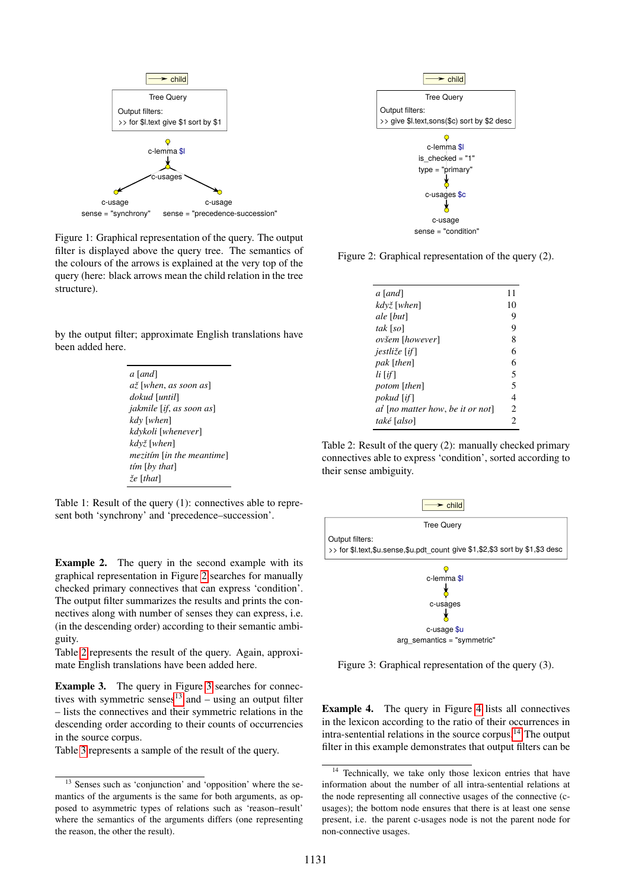

<span id="page-3-0"></span>Figure 1: Graphical representation of the query. The output filter is displayed above the query tree. The semantics of the colours of the arrows is explained at the very top of the query (here: black arrows mean the child relation in the tree structure).

by the output filter; approximate English translations have been added here.

| a <i>[and]</i>                           |
|------------------------------------------|
| až [when, as soon as]                    |
| dokud [until]                            |
| <i>jakmile</i> [ <i>if, as soon as</i> ] |
| kdy [when]                               |
| kdykoli [whenever]                       |
| kdvž [when]                              |
| mezitím [in the meantime]                |
| tím [by that]                            |
| $\zeta e$ [that]                         |
|                                          |

<span id="page-3-1"></span>Table 1: Result of the query (1): connectives able to represent both 'synchrony' and 'precedence–succession'.

essage<br>  $\sigma$ -segred concession"<br>  $\sigma$ -segred concessions and the query tree. The semantics of<br>  $\sigma$  for the arrows is explained at the very top of the<br>  $\sigma$  the arrows is explained at the very top of the<br>  $\sigma$  the arrows Example 2. The query in the second example with its graphical representation in Figure [2](#page-3-2) searches for manually checked primary connectives that can express 'condition'. The output filter summarizes the results and prints the connectives along with number of senses they can express, i.e. (in the descending order) according to their semantic ambiguity.

Table [2](#page-3-3) represents the result of the query. Again, approximate English translations have been added here.

Example 3. The query in Figure [3](#page-3-4) searches for connec-tives with symmetric senses<sup>[13](#page-3-5)</sup> and – using an output filter – lists the connectives and their symmetric relations in the descending order according to their counts of occurrencies in the source corpus.

Table [3](#page-4-1) represents a sample of the result of the query.



Figure 2: Graphical representation of the query (2).

<span id="page-3-2"></span>

| a [and]                          | 11 |
|----------------------------------|----|
| kdvž [when]                      | 10 |
| ale [but]                        | 9  |
| tak [so]                         | 9  |
| ovšem [however]                  | 8  |
| <i>jestliže</i> [ <i>if</i> ]    | 6  |
| pak [then]                       | 6  |
| li [if]                          | 5  |
| potom [then]                     | 5  |
| <i>pokud</i> [if]                | 4  |
| at [no matter how, be it or not] | 2  |
| také [also]                      | 2  |

<span id="page-3-3"></span>Table 2: Result of the query (2): manually checked primary connectives able to express 'condition', sorted according to their sense ambiguity.



<span id="page-3-4"></span>Figure 3: Graphical representation of the query (3).

Example 4. The query in Figure [4](#page-4-2) lists all connectives in the lexicon according to the ratio of their occurrences in intra-sentential relations in the source corpus.[14](#page-3-6) The output filter in this example demonstrates that output filters can be

<span id="page-3-5"></span><sup>&</sup>lt;sup>13</sup> Senses such as 'conjunction' and 'opposition' where the semantics of the arguments is the same for both arguments, as opposed to asymmetric types of relations such as 'reason–result' where the semantics of the arguments differs (one representing the reason, the other the result).

<span id="page-3-6"></span>Technically, we take only those lexicon entries that have information about the number of all intra-sentential relations at the node representing all connective usages of the connective (cusages); the bottom node ensures that there is at least one sense present, i.e. the parent c-usages node is not the parent node for non-connective usages.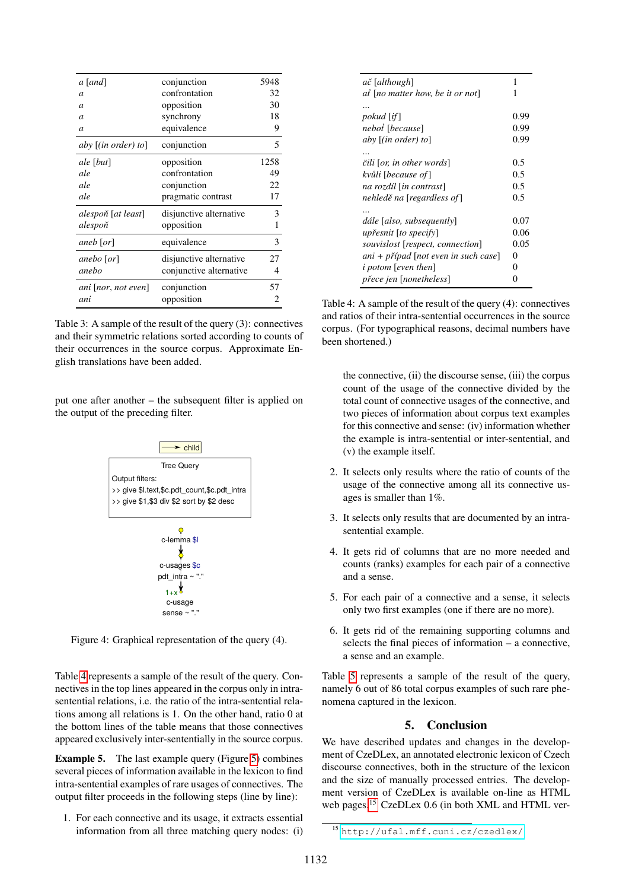| a [and]                    | conjunction             | 5948 |
|----------------------------|-------------------------|------|
| $\overline{a}$             | confrontation           | 32   |
| $\overline{a}$             | opposition              | 30   |
| $\overline{a}$             | synchrony               | 18   |
| $\overline{a}$             | equivalence             | 9    |
| aby $\lceil$ (in order) to | conjunction             | 5    |
| ale [but]                  | opposition              | 1258 |
| ale                        | confrontation           | 49   |
| ale                        | conjunction             | 22   |
| ale                        | pragmatic contrast      | 17   |
| alespoň [at least]         | disjunctive alternative | 3    |
| alespoň                    | opposition              | 1    |
| aneb [or]                  | equivalence             | 3    |
| anebo [or]                 | disjunctive alternative | 27   |
| anebo                      | conjunctive alternative | 4    |
| ani   nor, not even        | conjunction             | 57   |
| ani                        | opposition              | 2    |

<span id="page-4-1"></span>Table 3: A sample of the result of the query (3): connectives and their symmetric relations sorted according to counts of their occurrences in the source corpus. Approximate English translations have been added.

put one after another – the subsequent filter is applied on the output of the preceding filter.



<span id="page-4-2"></span>Figure 4: Graphical representation of the query (4).

Table 4 represents a sample of the result of the query. Connectives in the top lines appeared in the corpus only in intrasentential relations, i.e. the ratio of the intra-sentential relations among all relations is 1. On the other hand, ratio 0 at the bottom lines of the table means that those connectives appeared exclusively inter-sententially in the source corpus.

**Example 5.** The last example query (Figure 5) combines several pieces of information available in the lexicon to find intra-sentential examples of rare usages of connectives. The output filter proceeds in the following steps (line by line):

1. For each connective and its usage, it extracts essential information from all three matching query nodes: (i)

| ač [although]                           | 1    |
|-----------------------------------------|------|
| at [no matter how, be it or not]        | 1    |
|                                         |      |
| <i>pokud</i> [ <i>if</i> ]              | 0.99 |
| neboł [because]                         | 0.99 |
| aby $[(in order) to]$                   | 0.99 |
|                                         |      |
| čili [or, in other words]               | 0.5  |
| kvůli [because of ]                     | 0.5  |
| na rozdíl [in contrast]                 | 0.5  |
| nehledě na [regardless of]              | 0.5  |
|                                         |      |
| dále [also, subsequently]               | 0.07 |
| upřesnit [to specify]                   | 0.06 |
| souvislost [respect, connection]        | 0.05 |
| ani + případ [not even in such case]    | 0    |
| <i>i</i> potom [even then]              | 0    |
| <i>přece jen</i> [ <i>nonetheless</i> ] |      |

<span id="page-4-3"></span>Table 4: A sample of the result of the query  $(4)$ : connectives and ratios of their intra-sentential occurrences in the source corpus. (For typographical reasons, decimal numbers have been shortened.)

the connective, (ii) the discourse sense, (iii) the corpus count of the usage of the connective divided by the total count of connective usages of the connective, and two pieces of information about corpus text examples for this connective and sense: (iv) information whether the example is intra-sentential or inter-sentential, and (v) the example itself.

- 2. It selects only results where the ratio of counts of the usage of the connective among all its connective usages is smaller than 1%.
- 3. It selects only results that are documented by an intrasentential example.
- 4. It gets rid of columns that are no more needed and counts (ranks) examples for each pair of a connective and a sense.
- 5. For each pair of a connective and a sense, it selects only two first examples (one if there are no more).
- 6. It gets rid of the remaining supporting columns and selects the final pieces of information  $-$  a connective, a sense and an example.

Table 5 represents a sample of the result of the query, namely 6 out of 86 total corpus examples of such rare phenomena captured in the lexicon.

### 5. Conclusion

<span id="page-4-0"></span>We have described updates and changes in the development of CzeDLex, an annotated electronic lexicon of Czech discourse connectives, both in the structure of the lexicon and the size of manually processed entries. The development version of CzeDLex is available on-line as HTML web pages.<sup>15</sup> CzeDLex 0.6 (in both XML and HTML ver-

<span id="page-4-4"></span><sup>&</sup>lt;sup>15</sup> http://ufal.mff.cuni.cz/czedlex/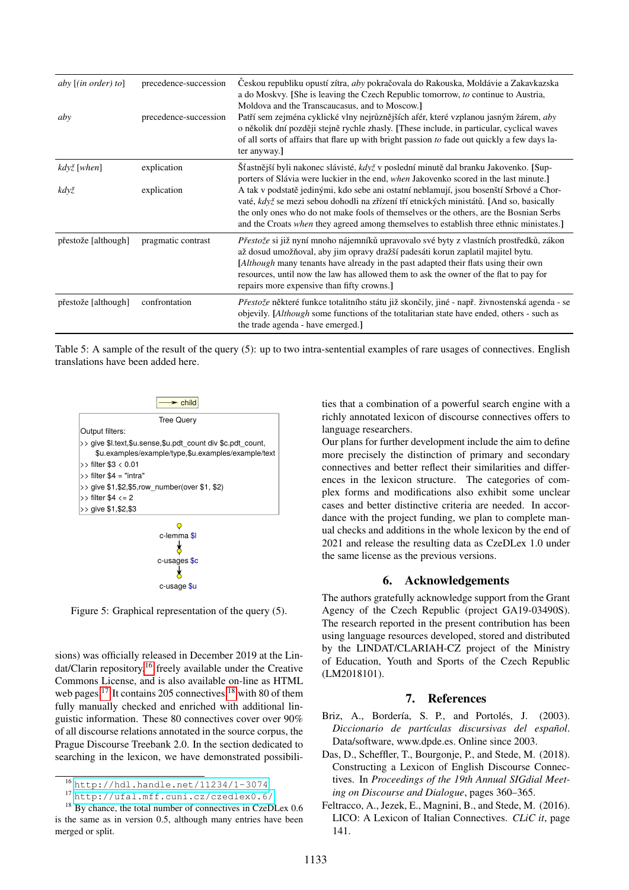| aby $[(in order) to]$ | precedence-succession | Ceskou republiku opustí zítra, aby pokračovala do Rakouska, Moldávie a Zakavkazska<br>a do Moskvy. [She is leaving the Czech Republic tomorrow, to continue to Austria,<br>Moldova and the Transcaucasus, and to Moscow.]                                                                                                                                                                                    |
|-----------------------|-----------------------|--------------------------------------------------------------------------------------------------------------------------------------------------------------------------------------------------------------------------------------------------------------------------------------------------------------------------------------------------------------------------------------------------------------|
| aby                   | precedence-succession | Patří sem zejména cyklické vlny nejrůznějších afér, které vzplanou jasným žárem, aby<br>o několik dní později stejně rychle zhasly. [These include, in particular, cyclical waves<br>of all sorts of affairs that flare up with bright passion to fade out quickly a few days la-<br>ter anyway.]                                                                                                            |
| když [when]           | explication           | Šťastnější byli nakonec slávisté, když v poslední minutě dal branku Jakovenko. [Sup-<br>porters of Slávia were luckier in the end, <i>when</i> Jakovenko scored in the last minute.]                                                                                                                                                                                                                         |
| když                  | explication           | A tak v podstatě jedinými, kdo sebe ani ostatní neblamují, jsou bosenští Srbové a Chor-<br>vaté, když se mezi sebou dohodli na zřízení tří etnických ministátů. [And so, basically<br>the only ones who do not make fools of themselves or the others, are the Bosnian Serbs<br>and the Croats <i>when</i> they agreed among themselves to establish three ethnic ministates.]                               |
| přestože [although]   | pragmatic contrast    | Přestože si již nyní mnoho nájemníků upravovalo své byty z vlastních prostředků, zákon<br>až dosud umožňoval, aby jim opravy dražší padesáti korun zaplatil majitel bytu.<br><i>Although</i> many tenants have already in the past adapted their flats using their own<br>resources, until now the law has allowed them to ask the owner of the flat to pay for<br>repairs more expensive than fifty crowns. |
| přestože [although]   | confrontation         | Přestože některé funkce totalitního státu již skončily, jiné - např. živnostenská agenda - se<br>objevily. [Although some functions of the totalitarian state have ended, others - such as<br>the trade agenda - have emerged.]                                                                                                                                                                              |

<span id="page-5-4"></span>

| Table 5: A sample of the result of the query (5): up to two intra-sentential examples of rare usages of connectives. English |  |
|------------------------------------------------------------------------------------------------------------------------------|--|
| translations have been added here.                                                                                           |  |



<span id="page-5-3"></span>Figure 5: Graphical representation of the query (5).

sions) was officially released in December 2019 at the Lindat/Clarin repository,<sup>16</sup> freely available under the Creative Commons License, and is also available on-line as HTML web pages.<sup>17</sup> It contains 205 connectives,<sup>18</sup> with 80 of them fully manually checked and enriched with additional linguistic information. These 80 connectives cover over 90% of all discourse relations annotated in the source corpus, the Prague Discourse Treebank 2.0. In the section dedicated to searching in the lexicon, we have demonstrated possibilities that a combination of a powerful search engine with a richly annotated lexicon of discourse connectives offers to language researchers.

Our plans for further development include the aim to define more precisely the distinction of primary and secondary connectives and better reflect their similarities and differences in the lexicon structure. The categories of complex forms and modifications also exhibit some unclear cases and better distinctive criteria are needed. In accordance with the project funding, we plan to complete manual checks and additions in the whole lexicon by the end of 2021 and release the resulting data as CzeDLex 1.0 under the same license as the previous versions.

#### 6. Acknowledgements

The authors gratefully acknowledge support from the Grant Agency of the Czech Republic (project GA19-03490S). The research reported in the present contribution has been using language resources developed, stored and distributed by the LINDAT/CLARIAH-CZ project of the Ministry of Education, Youth and Sports of the Czech Republic  $(LM2018101).$ 

#### 7. **References**

- <span id="page-5-0"></span>Briz, A., Bordería, S. P., and Portolés, J. (2003). Diccionario de partículas discursivas del español. Data/software, www.dpde.es. Online since 2003.
- <span id="page-5-2"></span>Das, D., Scheffler, T., Bourgonje, P., and Stede, M. (2018). Constructing a Lexicon of English Discourse Connectives. In Proceedings of the 19th Annual SIGdial Meeting on Discourse and Dialogue, pages 360–365.
- <span id="page-5-1"></span>Feltracco, A., Jezek, E., Magnini, B., and Stede, M. (2016). LICO: A Lexicon of Italian Connectives. CLiC it, page 141.

<span id="page-5-5"></span><sup>&</sup>lt;sup>16</sup> http://hdl.handle.net/11234/1-3074

<span id="page-5-7"></span><span id="page-5-6"></span> $17$  http://ufal.mff.cuni.cz/czedlex0.6/

 $18$  By chance, the total number of connectives in CzeDLex 0.6 is the same as in version 0.5, although many entries have been merged or split.